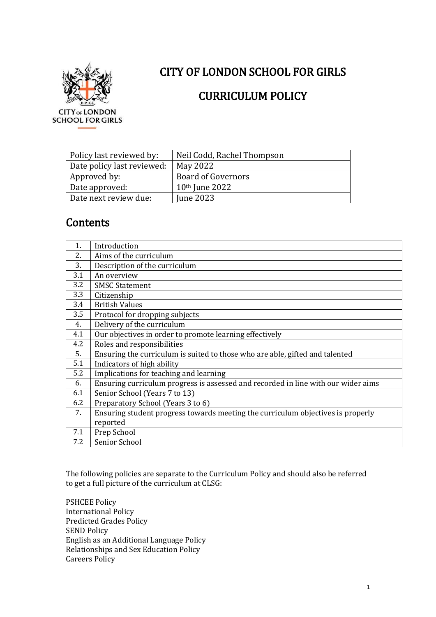

# CITY OF LONDON SCHOOL FOR GIRLS

## CURRICULUM POLICY

| Policy last reviewed by:   | Neil Codd, Rachel Thompson |
|----------------------------|----------------------------|
| Date policy last reviewed: | May 2022                   |
| Approved by:               | <b>Board of Governors</b>  |
| Date approved:             | 10 <sup>th</sup> June 2022 |
| Date next review due:      | <b>Iune 2023</b>           |

## **Contents**

| 1.  | Introduction                                                                      |
|-----|-----------------------------------------------------------------------------------|
| 2.  | Aims of the curriculum                                                            |
| 3.  | Description of the curriculum                                                     |
| 3.1 | An overview                                                                       |
| 3.2 | <b>SMSC Statement</b>                                                             |
| 3.3 | Citizenship                                                                       |
| 3.4 | <b>British Values</b>                                                             |
| 3.5 | Protocol for dropping subjects                                                    |
| 4.  | Delivery of the curriculum                                                        |
| 4.1 | Our objectives in order to promote learning effectively                           |
| 4.2 | Roles and responsibilities                                                        |
| 5.  | Ensuring the curriculum is suited to those who are able, gifted and talented      |
| 5.1 | Indicators of high ability                                                        |
| 5.2 | Implications for teaching and learning                                            |
| 6.  | Ensuring curriculum progress is assessed and recorded in line with our wider aims |
| 6.1 | Senior School (Years 7 to 13)                                                     |
| 6.2 | Preparatory School (Years 3 to 6)                                                 |
| 7.  | Ensuring student progress towards meeting the curriculum objectives is properly   |
|     | reported                                                                          |
| 7.1 | Prep School                                                                       |
| 7.2 | Senior School                                                                     |

The following policies are separate to the Curriculum Policy and should also be referred to get a full picture of the curriculum at CLSG:

PSHCEE Policy International Policy Predicted Grades Policy SEND Policy English as an Additional Language Policy Relationships and Sex Education Policy Careers Policy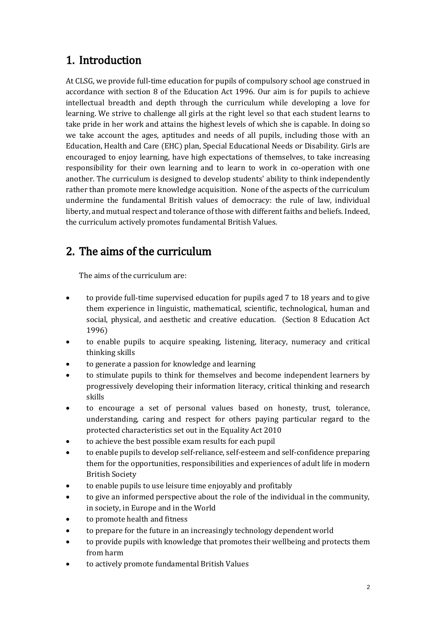# 1. Introduction

At CLSG, we provide full-time education for pupils of compulsory school age construed in accordance with section 8 of the Education Act 1996. Our aim is for pupils to achieve intellectual breadth and depth through the curriculum while developing a love for learning. We strive to challenge all girls at the right level so that each student learns to take pride in her work and attains the highest levels of which she is capable. In doing so we take account the ages, aptitudes and needs of all pupils, including those with an Education, Health and Care (EHC) plan, Special Educational Needs or Disability. Girls are encouraged to enjoy learning, have high expectations of themselves, to take increasing responsibility for their own learning and to learn to work in co-operation with one another. The curriculum is designed to develop students' ability to think independently rather than promote mere knowledge acquisition. None of the aspects of the curriculum undermine the fundamental British values of democracy: the rule of law, individual liberty, and mutual respect and tolerance of those with different faiths and beliefs. Indeed, the curriculum actively promotes fundamental British Values.

# 2. The aims of the curriculum

The aims of the curriculum are:

- to provide full-time supervised education for pupils aged 7 to 18 years and to give them experience in linguistic, mathematical, scientific, technological, human and social, physical, and aesthetic and creative education. (Section 8 Education Act 1996)
- to enable pupils to acquire speaking, listening, literacy, numeracy and critical thinking skills
- to generate a passion for knowledge and learning
- to stimulate pupils to think for themselves and become independent learners by progressively developing their information literacy, critical thinking and research skills
- to encourage a set of personal values based on honesty, trust, tolerance, understanding, caring and respect for others paying particular regard to the protected characteristics set out in the Equality Act 2010
- to achieve the best possible exam results for each pupil
- to enable pupils to develop self-reliance, self-esteem and self-confidence preparing them for the opportunities, responsibilities and experiences of adult life in modern British Society
- to enable pupils to use leisure time enjoyably and profitably
- to give an informed perspective about the role of the individual in the community, in society, in Europe and in the World
- to promote health and fitness
- to prepare for the future in an increasingly technology dependent world
- to provide pupils with knowledge that promotes their wellbeing and protects them from harm
- to actively promote fundamental British Values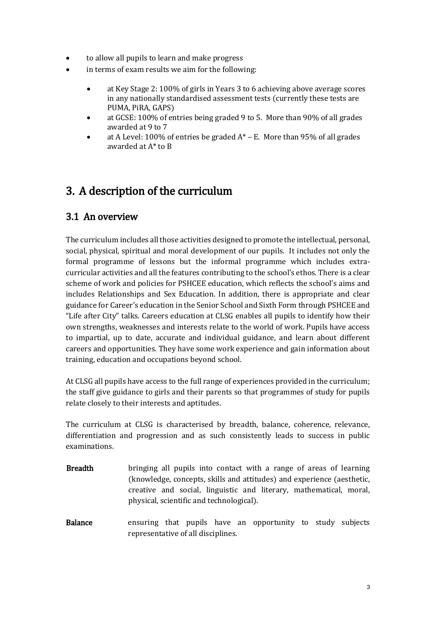- to allow all pupils to learn and make progress
- in terms of exam results we aim for the following:
	- at Key Stage 2: 100% of girls in Years 3 to 6 achieving above average scores in any nationally standardised assessment tests (currently these tests are PUMA, PiRA, GAPS)
	- at GCSE: 100% of entries being graded 9 to 5. More than 90% of all grades awarded at 9 to 7
	- at A Level: 100% of entries be graded  $A^*$  E. More than 95% of all grades awarded at A\* to B

# 3. A description of the curriculum

## 3.1 An overview

The curriculum includes all those activities designed to promote the intellectual, personal, social, physical, spiritual and moral development of our pupils. It includes not only the formal programme of lessons but the informal programme which includes extracurricular activities and all the features contributing to the school's ethos. There is a clear scheme of work and policies for PSHCEE education, which reflects the school's aims and includes Relationships and Sex Education. In addition, there is appropriate and clear guidance for Career's education in the Senior School and Sixth Form through PSHCEE and "Life after City" talks. Careers education at CLSG enables all pupils to identify how their own strengths, weaknesses and interests relate to the world of work. Pupils have access to impartial, up to date, accurate and individual guidance, and learn about different careers and opportunities. They have some work experience and gain information about training, education and occupations beyond school.

At CLSG all pupils have access to the full range of experiences provided in the curriculum; the staff give guidance to girls and their parents so that programmes of study for pupils relate closely to their interests and aptitudes.

The curriculum at CLSG is characterised by breadth, balance, coherence, relevance, differentiation and progression and as such consistently leads to success in public examinations.

- Breadth bringing all pupils into contact with a range of areas of learning (knowledge, concepts, skills and attitudes) and experience (aesthetic, creative and social, linguistic and literary, mathematical, moral, physical, scientific and technological).
- Balance ensuring that pupils have an opportunity to study subjects representative of all disciplines.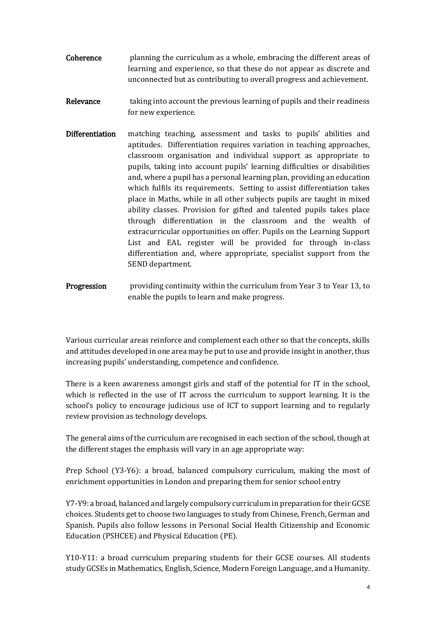- Coherence planning the curriculum as a whole, embracing the different areas of learning and experience, so that these do not appear as discrete and unconnected but as contributing to overall progress and achievement.
- Relevance taking into account the previous learning of pupils and their readiness for new experience.
- Differentiation matching teaching, assessment and tasks to pupils' abilities and aptitudes. Differentiation requires variation in teaching approaches, classroom organisation and individual support as appropriate to pupils, taking into account pupils' learning difficulties or disabilities and, where a pupil has a personal learning plan, providing an education which fulfils its requirements. Setting to assist differentiation takes place in Maths, while in all other subjects pupils are taught in mixed ability classes. Provision for gifted and talented pupils takes place through differentiation in the classroom and the wealth of extracurricular opportunities on offer. Pupils on the Learning Support List and EAL register will be provided for through in-class differentiation and, where appropriate, specialist support from the SEND department.
- Progression providing continuity within the curriculum from Year 3 to Year 13, to enable the pupils to learn and make progress.

Various curricular areas reinforce and complement each other so that the concepts, skills and attitudes developed in one area may be put to use and provide insight in another, thus increasing pupils' understanding, competence and confidence.

There is a keen awareness amongst girls and staff of the potential for IT in the school, which is reflected in the use of IT across the curriculum to support learning. It is the school's policy to encourage judicious use of ICT to support learning and to regularly review provision as technology develops.

The general aims of the curriculum are recognised in each section of the school, though at the different stages the emphasis will vary in an age appropriate way:

Prep School (Y3-Y6): a broad, balanced compulsory curriculum, making the most of enrichment opportunities in London and preparing them for senior school entry

Y7-Y9: a broad, balanced and largely compulsory curriculum in preparation for their GCSE choices. Students get to choose two languages to study from Chinese, French, German and Spanish. Pupils also follow lessons in Personal Social Health Citizenship and Economic Education (PSHCEE) and Physical Education (PE).

Y10-Y11: a broad curriculum preparing students for their GCSE courses. All students study GCSEs in Mathematics, English, Science, Modern Foreign Language, and a Humanity.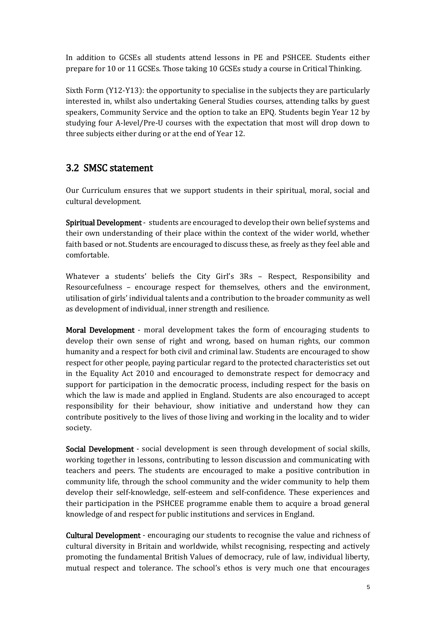In addition to GCSEs all students attend lessons in PE and PSHCEE. Students either prepare for 10 or 11 GCSEs. Those taking 10 GCSEs study a course in Critical Thinking.

Sixth Form (Y12-Y13): the opportunity to specialise in the subjects they are particularly interested in, whilst also undertaking General Studies courses, attending talks by guest speakers, Community Service and the option to take an EPQ. Students begin Year 12 by studying four A-level/Pre-U courses with the expectation that most will drop down to three subjects either during or at the end of Year 12.

## 3.2 SMSC statement

Our Curriculum ensures that we support students in their spiritual, moral, social and cultural development.

Spiritual Development - students are encouraged to develop their own belief systems and their own understanding of their place within the context of the wider world, whether faith based or not. Students are encouraged to discuss these, as freely as they feel able and comfortable.

Whatever a students' beliefs the City Girl's 3Rs – Respect, Responsibility and Resourcefulness – encourage respect for themselves, others and the environment, utilisation of girls' individual talents and a contribution to the broader community as well as development of individual, inner strength and resilience.

Moral Development - moral development takes the form of encouraging students to develop their own sense of right and wrong, based on human rights, our common humanity and a respect for both civil and criminal law. Students are encouraged to show respect for other people, paying particular regard to the protected characteristics set out in the Equality Act 2010 and encouraged to demonstrate respect for democracy and support for participation in the democratic process, including respect for the basis on which the law is made and applied in England. Students are also encouraged to accept responsibility for their behaviour, show initiative and understand how they can contribute positively to the lives of those living and working in the locality and to wider society.

Social Development - social development is seen through development of social skills, working together in lessons, contributing to lesson discussion and communicating with teachers and peers. The students are encouraged to make a positive contribution in community life, through the school community and the wider community to help them develop their self-knowledge, self-esteem and self-confidence. These experiences and their participation in the PSHCEE programme enable them to acquire a broad general knowledge of and respect for public institutions and services in England.

Cultural Development - encouraging our students to recognise the value and richness of cultural diversity in Britain and worldwide, whilst recognising, respecting and actively promoting the fundamental British Values of democracy, rule of law, individual liberty, mutual respect and tolerance. The school's ethos is very much one that encourages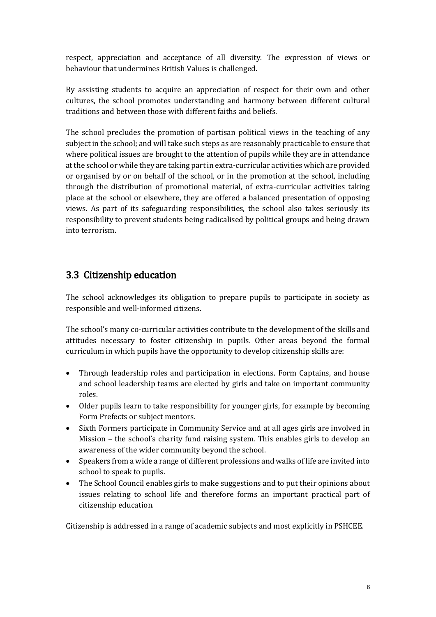respect, appreciation and acceptance of all diversity. The expression of views or behaviour that undermines British Values is challenged.

By assisting students to acquire an appreciation of respect for their own and other cultures, the school promotes understanding and harmony between different cultural traditions and between those with different faiths and beliefs.

The school precludes the promotion of partisan political views in the teaching of any subject in the school; and will take such steps as are reasonably practicable to ensure that where political issues are brought to the attention of pupils while they are in attendance at the school or while they are taking part in extra-curricular activities which are provided or organised by or on behalf of the school, or in the promotion at the school, including through the distribution of promotional material, of extra-curricular activities taking place at the school or elsewhere, they are offered a balanced presentation of opposing views. As part of its safeguarding responsibilities, the school also takes seriously its responsibility to prevent students being radicalised by political groups and being drawn into terrorism.

## 3.3 Citizenship education

The school acknowledges its obligation to prepare pupils to participate in society as responsible and well-informed citizens.

The school's many co-curricular activities contribute to the development of the skills and attitudes necessary to foster citizenship in pupils. Other areas beyond the formal curriculum in which pupils have the opportunity to develop citizenship skills are:

- Through leadership roles and participation in elections. Form Captains, and house and school leadership teams are elected by girls and take on important community roles.
- Older pupils learn to take responsibility for younger girls, for example by becoming Form Prefects or subject mentors.
- Sixth Formers participate in Community Service and at all ages girls are involved in Mission – the school's charity fund raising system. This enables girls to develop an awareness of the wider community beyond the school.
- Speakers from a wide a range of different professions and walks of life are invited into school to speak to pupils.
- The School Council enables girls to make suggestions and to put their opinions about issues relating to school life and therefore forms an important practical part of citizenship education.

Citizenship is addressed in a range of academic subjects and most explicitly in PSHCEE.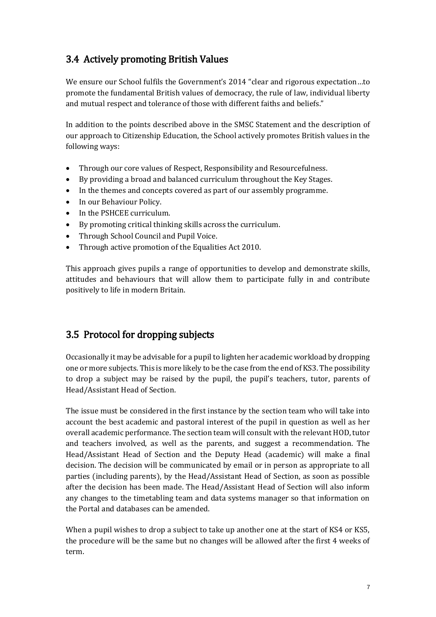## 3.4 Actively promoting British Values

We ensure our School fulfils the Government's 2014 "clear and rigorous expectation…to promote the fundamental British values of democracy, the rule of law, individual liberty and mutual respect and tolerance of those with different faiths and beliefs."

In addition to the points described above in the SMSC Statement and the description of our approach to Citizenship Education, the School actively promotes British values in the following ways:

- Through our core values of Respect, Responsibility and Resourcefulness.
- By providing a broad and balanced curriculum throughout the Key Stages.
- In the themes and concepts covered as part of our assembly programme.
- In our Behaviour Policy.
- In the PSHCEE curriculum.
- By promoting critical thinking skills across the curriculum.
- Through School Council and Pupil Voice.
- Through active promotion of the Equalities Act 2010.

This approach gives pupils a range of opportunities to develop and demonstrate skills, attitudes and behaviours that will allow them to participate fully in and contribute positively to life in modern Britain.

## 3.5 Protocol for dropping subjects

Occasionally it may be advisable for a pupil to lighten her academic workload by dropping one or more subjects. This is more likely to be the case from the end of KS3. The possibility to drop a subject may be raised by the pupil, the pupil's teachers, tutor, parents of Head/Assistant Head of Section.

The issue must be considered in the first instance by the section team who will take into account the best academic and pastoral interest of the pupil in question as well as her overall academic performance. The section team will consult with the relevant HOD, tutor and teachers involved, as well as the parents, and suggest a recommendation. The Head/Assistant Head of Section and the Deputy Head (academic) will make a final decision. The decision will be communicated by email or in person as appropriate to all parties (including parents), by the Head/Assistant Head of Section, as soon as possible after the decision has been made. The Head/Assistant Head of Section will also inform any changes to the timetabling team and data systems manager so that information on the Portal and databases can be amended.

When a pupil wishes to drop a subject to take up another one at the start of KS4 or KS5, the procedure will be the same but no changes will be allowed after the first 4 weeks of term.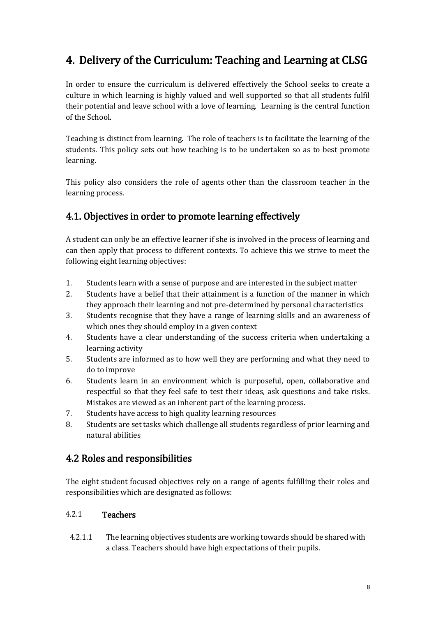# 4. Delivery of the Curriculum: Teaching and Learning at CLSG

In order to ensure the curriculum is delivered effectively the School seeks to create a culture in which learning is highly valued and well supported so that all students fulfil their potential and leave school with a love of learning. Learning is the central function of the School.

Teaching is distinct from learning. The role of teachers is to facilitate the learning of the students. This policy sets out how teaching is to be undertaken so as to best promote learning.

This policy also considers the role of agents other than the classroom teacher in the learning process.

## 4.1. Objectives in order to promote learning effectively

A student can only be an effective learner if she is involved in the process of learning and can then apply that process to different contexts. To achieve this we strive to meet the following eight learning objectives:

- 1. Students learn with a sense of purpose and are interested in the subject matter
- 2. Students have a belief that their attainment is a function of the manner in which they approach their learning and not pre-determined by personal characteristics
- 3. Students recognise that they have a range of learning skills and an awareness of which ones they should employ in a given context
- 4. Students have a clear understanding of the success criteria when undertaking a learning activity
- 5. Students are informed as to how well they are performing and what they need to do to improve
- 6. Students learn in an environment which is purposeful, open, collaborative and respectful so that they feel safe to test their ideas, ask questions and take risks. Mistakes are viewed as an inherent part of the learning process.
- 7. Students have access to high quality learning resources
- 8. Students are set tasks which challenge all students regardless of prior learning and natural abilities

## 4.2 Roles and responsibilities

The eight student focused objectives rely on a range of agents fulfilling their roles and responsibilities which are designated as follows:

### 4.2.1 Teachers

4.2.1.1 The learning objectives students are working towards should be shared with a class. Teachers should have high expectations of their pupils.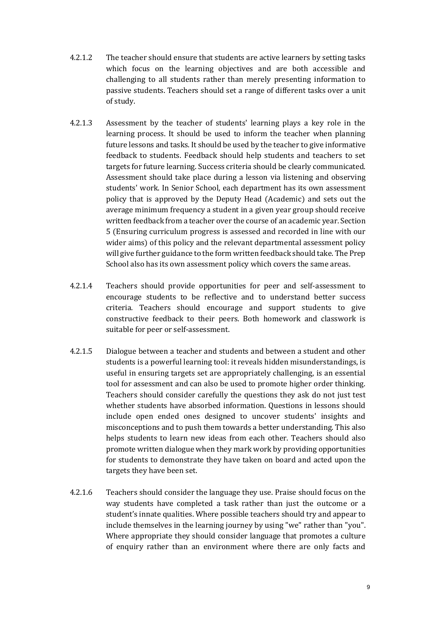- 4.2.1.2 The teacher should ensure that students are active learners by setting tasks which focus on the learning objectives and are both accessible and challenging to all students rather than merely presenting information to passive students. Teachers should set a range of different tasks over a unit of study.
- 4.2.1.3 Assessment by the teacher of students' learning plays a key role in the learning process. It should be used to inform the teacher when planning future lessons and tasks. It should be used by the teacher to give informative feedback to students. Feedback should help students and teachers to set targets for future learning. Success criteria should be clearly communicated. Assessment should take place during a lesson via listening and observing students' work. In Senior School, each department has its own assessment policy that is approved by the Deputy Head (Academic) and sets out the average minimum frequency a student in a given year group should receive written feedback from a teacher over the course of an academic year. Section 5 (Ensuring curriculum progress is assessed and recorded in line with our wider aims) of this policy and the relevant departmental assessment policy will give further guidance to the form written feedback should take. The Prep School also has its own assessment policy which covers the same areas.
- 4.2.1.4 Teachers should provide opportunities for peer and self-assessment to encourage students to be reflective and to understand better success criteria. Teachers should encourage and support students to give constructive feedback to their peers. Both homework and classwork is suitable for peer or self-assessment.
- 4.2.1.5 Dialogue between a teacher and students and between a student and other students is a powerful learning tool: it reveals hidden misunderstandings, is useful in ensuring targets set are appropriately challenging, is an essential tool for assessment and can also be used to promote higher order thinking. Teachers should consider carefully the questions they ask do not just test whether students have absorbed information. Questions in lessons should include open ended ones designed to uncover students' insights and misconceptions and to push them towards a better understanding. This also helps students to learn new ideas from each other. Teachers should also promote written dialogue when they mark work by providing opportunities for students to demonstrate they have taken on board and acted upon the targets they have been set.
- 4.2.1.6 Teachers should consider the language they use. Praise should focus on the way students have completed a task rather than just the outcome or a student's innate qualities. Where possible teachers should try and appear to include themselves in the learning journey by using "we" rather than "you". Where appropriate they should consider language that promotes a culture of enquiry rather than an environment where there are only facts and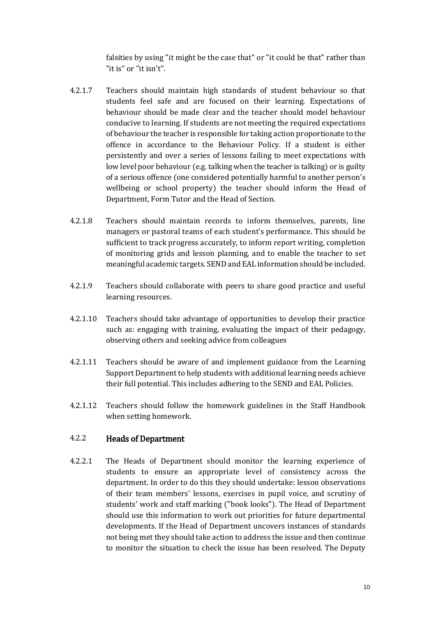falsities by using "it might be the case that" or "it could be that" rather than "it is" or "it isn't".

- 4.2.1.7 Teachers should maintain high standards of student behaviour so that students feel safe and are focused on their learning. Expectations of behaviour should be made clear and the teacher should model behaviour conducive to learning. If students are not meeting the required expectations of behaviour the teacher is responsible for taking action proportionate to the offence in accordance to the Behaviour Policy. If a student is either persistently and over a series of lessons failing to meet expectations with low level poor behaviour (e.g. talking when the teacher is talking) or is guilty of a serious offence (one considered potentially harmful to another person's wellbeing or school property) the teacher should inform the Head of Department, Form Tutor and the Head of Section.
- 4.2.1.8 Teachers should maintain records to inform themselves, parents, line managers or pastoral teams of each student's performance. This should be sufficient to track progress accurately, to inform report writing, completion of monitoring grids and lesson planning, and to enable the teacher to set meaningful academic targets. SEND and EAL information should be included.
- 4.2.1.9 Teachers should collaborate with peers to share good practice and useful learning resources.
- 4.2.1.10 Teachers should take advantage of opportunities to develop their practice such as: engaging with training, evaluating the impact of their pedagogy, observing others and seeking advice from colleagues
- 4.2.1.11 Teachers should be aware of and implement guidance from the Learning Support Department to help students with additional learning needs achieve their full potential. This includes adhering to the SEND and EAL Policies.
- 4.2.1.12 Teachers should follow the homework guidelines in the Staff Handbook when setting homework.

#### 4.2.2 Heads of Department

4.2.2.1 The Heads of Department should monitor the learning experience of students to ensure an appropriate level of consistency across the department. In order to do this they should undertake: lesson observations of their team members' lessons, exercises in pupil voice, and scrutiny of students' work and staff marking ("book looks"). The Head of Department should use this information to work out priorities for future departmental developments. If the Head of Department uncovers instances of standards not being met they should take action to address the issue and then continue to monitor the situation to check the issue has been resolved. The Deputy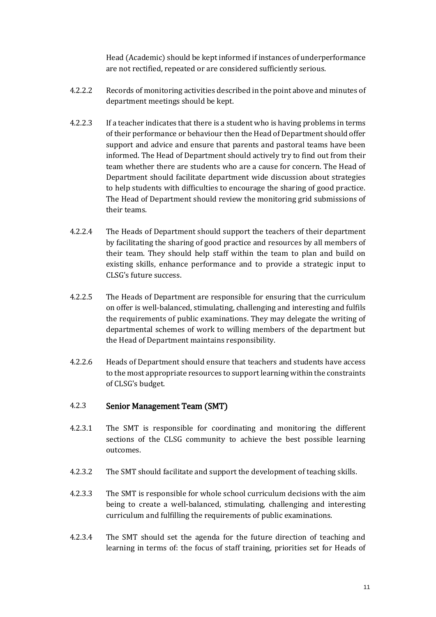Head (Academic) should be kept informed if instances of underperformance are not rectified, repeated or are considered sufficiently serious.

- 4.2.2.2 Records of monitoring activities described in the point above and minutes of department meetings should be kept.
- 4.2.2.3 If a teacher indicates that there is a student who is having problems in terms of their performance or behaviour then the Head of Department should offer support and advice and ensure that parents and pastoral teams have been informed. The Head of Department should actively try to find out from their team whether there are students who are a cause for concern. The Head of Department should facilitate department wide discussion about strategies to help students with difficulties to encourage the sharing of good practice. The Head of Department should review the monitoring grid submissions of their teams.
- 4.2.2.4 The Heads of Department should support the teachers of their department by facilitating the sharing of good practice and resources by all members of their team. They should help staff within the team to plan and build on existing skills, enhance performance and to provide a strategic input to CLSG's future success.
- 4.2.2.5 The Heads of Department are responsible for ensuring that the curriculum on offer is well-balanced, stimulating, challenging and interesting and fulfils the requirements of public examinations. They may delegate the writing of departmental schemes of work to willing members of the department but the Head of Department maintains responsibility.
- 4.2.2.6 Heads of Department should ensure that teachers and students have access to the most appropriate resources to support learning within the constraints of CLSG's budget.

#### 4.2.3 Senior Management Team (SMT)

- 4.2.3.1 The SMT is responsible for coordinating and monitoring the different sections of the CLSG community to achieve the best possible learning outcomes.
- 4.2.3.2 The SMT should facilitate and support the development of teaching skills.
- 4.2.3.3 The SMT is responsible for whole school curriculum decisions with the aim being to create a well-balanced, stimulating, challenging and interesting curriculum and fulfilling the requirements of public examinations.
- 4.2.3.4 The SMT should set the agenda for the future direction of teaching and learning in terms of: the focus of staff training, priorities set for Heads of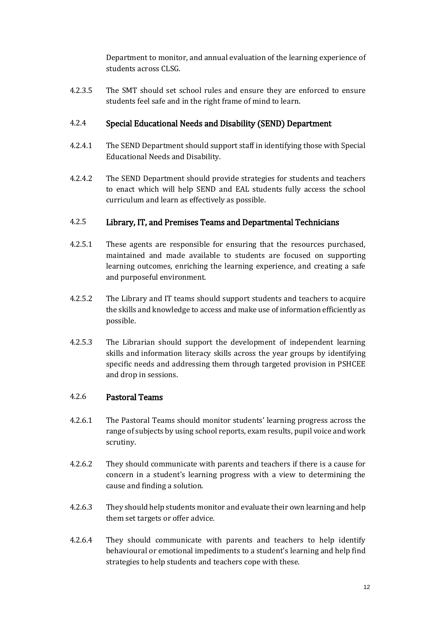Department to monitor, and annual evaluation of the learning experience of students across CLSG.

4.2.3.5 The SMT should set school rules and ensure they are enforced to ensure students feel safe and in the right frame of mind to learn.

### 4.2.4 Special Educational Needs and Disability (SEND) Department

- 4.2.4.1 The SEND Department should support staff in identifying those with Special Educational Needs and Disability.
- 4.2.4.2 The SEND Department should provide strategies for students and teachers to enact which will help SEND and EAL students fully access the school curriculum and learn as effectively as possible.

### 4.2.5 Library, IT, and Premises Teams and Departmental Technicians

- 4.2.5.1 These agents are responsible for ensuring that the resources purchased, maintained and made available to students are focused on supporting learning outcomes, enriching the learning experience, and creating a safe and purposeful environment.
- 4.2.5.2 The Library and IT teams should support students and teachers to acquire the skills and knowledge to access and make use of information efficiently as possible.
- 4.2.5.3 The Librarian should support the development of independent learning skills and information literacy skills across the year groups by identifying specific needs and addressing them through targeted provision in PSHCEE and drop in sessions.

#### 4.2.6 Pastoral Teams

- 4.2.6.1 The Pastoral Teams should monitor students' learning progress across the range of subjects by using school reports, exam results, pupil voice and work scrutiny.
- 4.2.6.2 They should communicate with parents and teachers if there is a cause for concern in a student's learning progress with a view to determining the cause and finding a solution.
- 4.2.6.3 They should help students monitor and evaluate their own learning and help them set targets or offer advice.
- 4.2.6.4 They should communicate with parents and teachers to help identify behavioural or emotional impediments to a student's learning and help find strategies to help students and teachers cope with these.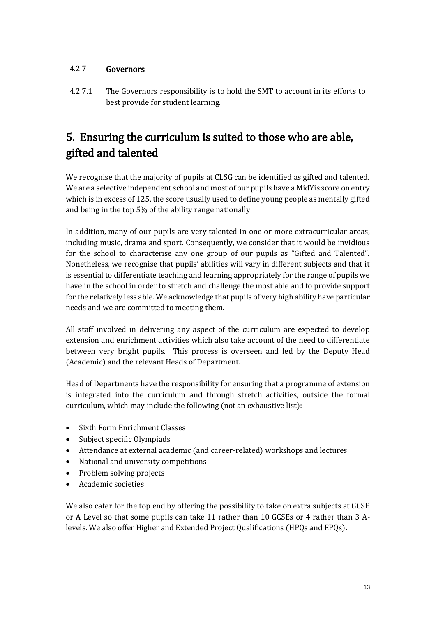### 4.2.7 Governors

4.2.7.1 The Governors responsibility is to hold the SMT to account in its efforts to best provide for student learning.

# 5. Ensuring the curriculum is suited to those who are able, gifted and talented

We recognise that the majority of pupils at CLSG can be identified as gifted and talented. We are a selective independent school and most of our pupils have a MidYis score on entry which is in excess of 125, the score usually used to define young people as mentally gifted and being in the top 5% of the ability range nationally.

In addition, many of our pupils are very talented in one or more extracurricular areas, including music, drama and sport. Consequently, we consider that it would be invidious for the school to characterise any one group of our pupils as "Gifted and Talented". Nonetheless, we recognise that pupils' abilities will vary in different subjects and that it is essential to differentiate teaching and learning appropriately for the range of pupils we have in the school in order to stretch and challenge the most able and to provide support for the relatively less able. We acknowledge that pupils of very high ability have particular needs and we are committed to meeting them.

All staff involved in delivering any aspect of the curriculum are expected to develop extension and enrichment activities which also take account of the need to differentiate between very bright pupils. This process is overseen and led by the Deputy Head (Academic) and the relevant Heads of Department.

Head of Departments have the responsibility for ensuring that a programme of extension is integrated into the curriculum and through stretch activities, outside the formal curriculum, which may include the following (not an exhaustive list):

- Sixth Form Enrichment Classes
- Subject specific Olympiads
- Attendance at external academic (and career-related) workshops and lectures
- National and university competitions
- Problem solving projects
- Academic societies

We also cater for the top end by offering the possibility to take on extra subjects at GCSE or A Level so that some pupils can take 11 rather than 10 GCSEs or 4 rather than 3 Alevels. We also offer Higher and Extended Project Qualifications (HPQs and EPQs).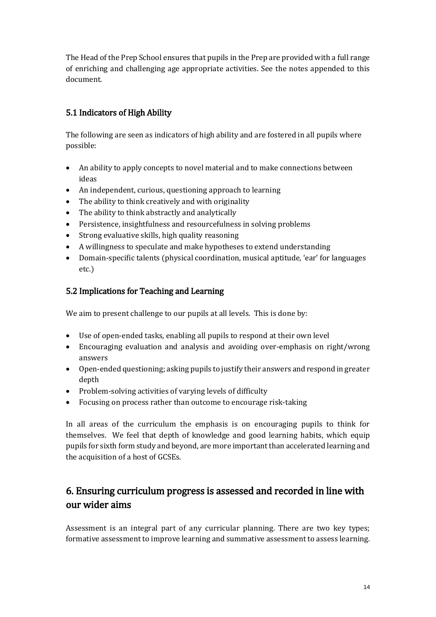The Head of the Prep School ensures that pupils in the Prep are provided with a full range of enriching and challenging age appropriate activities. See the notes appended to this document.

## 5.1 Indicators of High Ability

The following are seen as indicators of high ability and are fostered in all pupils where possible:

- An ability to apply concepts to novel material and to make connections between ideas
- An independent, curious, questioning approach to learning
- The ability to think creatively and with originality
- The ability to think abstractly and analytically
- Persistence, insightfulness and resourcefulness in solving problems
- Strong evaluative skills, high quality reasoning
- A willingness to speculate and make hypotheses to extend understanding
- Domain-specific talents (physical coordination, musical aptitude, 'ear' for languages etc.)

### 5.2 Implications for Teaching and Learning

We aim to present challenge to our pupils at all levels. This is done by:

- Use of open-ended tasks, enabling all pupils to respond at their own level
- Encouraging evaluation and analysis and avoiding over-emphasis on right/wrong answers
- Open-ended questioning; asking pupils to justify their answers and respond in greater depth
- Problem-solving activities of varying levels of difficulty
- Focusing on process rather than outcome to encourage risk-taking

In all areas of the curriculum the emphasis is on encouraging pupils to think for themselves. We feel that depth of knowledge and good learning habits, which equip pupils for sixth form study and beyond, are more important than accelerated learning and the acquisition of a host of GCSEs.

## 6. Ensuring curriculum progress is assessed and recorded in line with our wider aims

Assessment is an integral part of any curricular planning. There are two key types; formative assessment to improve learning and summative assessment to assess learning.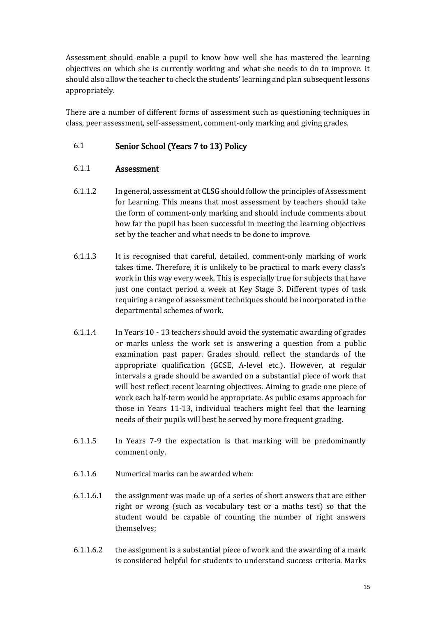Assessment should enable a pupil to know how well she has mastered the learning objectives on which she is currently working and what she needs to do to improve. It should also allow the teacher to check the students' learning and plan subsequent lessons appropriately.

There are a number of different forms of assessment such as questioning techniques in class, peer assessment, self-assessment, comment-only marking and giving grades.

### 6.1 Senior School (Years 7 to 13) Policy

### 6.1.1 Assessment

- 6.1.1.2 In general, assessment at CLSG should follow the principles of Assessment for Learning. This means that most assessment by teachers should take the form of comment-only marking and should include comments about how far the pupil has been successful in meeting the learning objectives set by the teacher and what needs to be done to improve.
- 6.1.1.3 It is recognised that careful, detailed, comment-only marking of work takes time. Therefore, it is unlikely to be practical to mark every class's work in this way every week. This is especially true for subjects that have just one contact period a week at Key Stage 3. Different types of task requiring a range of assessment techniques should be incorporated in the departmental schemes of work.
- 6.1.1.4 In Years 10 13 teachers should avoid the systematic awarding of grades or marks unless the work set is answering a question from a public examination past paper. Grades should reflect the standards of the appropriate qualification (GCSE, A-level etc.). However, at regular intervals a grade should be awarded on a substantial piece of work that will best reflect recent learning objectives. Aiming to grade one piece of work each half-term would be appropriate. As public exams approach for those in Years 11-13, individual teachers might feel that the learning needs of their pupils will best be served by more frequent grading.
- 6.1.1.5 In Years 7-9 the expectation is that marking will be predominantly comment only.
- 6.1.1.6 Numerical marks can be awarded when:
- 6.1.1.6.1 the assignment was made up of a series of short answers that are either right or wrong (such as vocabulary test or a maths test) so that the student would be capable of counting the number of right answers themselves;
- 6.1.1.6.2 the assignment is a substantial piece of work and the awarding of a mark is considered helpful for students to understand success criteria. Marks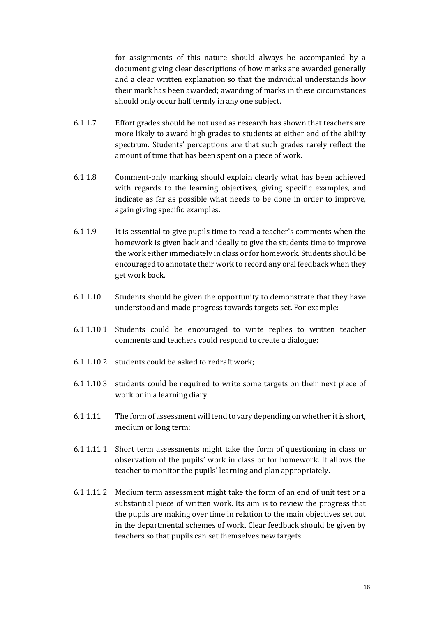for assignments of this nature should always be accompanied by a document giving clear descriptions of how marks are awarded generally and a clear written explanation so that the individual understands how their mark has been awarded; awarding of marks in these circumstances should only occur half termly in any one subject.

- 6.1.1.7 Effort grades should be not used as research has shown that teachers are more likely to award high grades to students at either end of the ability spectrum. Students' perceptions are that such grades rarely reflect the amount of time that has been spent on a piece of work.
- 6.1.1.8 Comment-only marking should explain clearly what has been achieved with regards to the learning objectives, giving specific examples, and indicate as far as possible what needs to be done in order to improve, again giving specific examples.
- 6.1.1.9 It is essential to give pupils time to read a teacher's comments when the homework is given back and ideally to give the students time to improve the work either immediately in class or for homework. Students should be encouraged to annotate their work to record any oral feedback when they get work back.
- 6.1.1.10 Students should be given the opportunity to demonstrate that they have understood and made progress towards targets set. For example:
- 6.1.1.10.1 Students could be encouraged to write replies to written teacher comments and teachers could respond to create a dialogue;
- 6.1.1.10.2 students could be asked to redraft work;
- 6.1.1.10.3 students could be required to write some targets on their next piece of work or in a learning diary.
- 6.1.1.11 The form of assessment will tend to vary depending on whether it is short, medium or long term:
- 6.1.1.11.1 Short term assessments might take the form of questioning in class or observation of the pupils' work in class or for homework. It allows the teacher to monitor the pupils' learning and plan appropriately.
- 6.1.1.11.2 Medium term assessment might take the form of an end of unit test or a substantial piece of written work. Its aim is to review the progress that the pupils are making over time in relation to the main objectives set out in the departmental schemes of work. Clear feedback should be given by teachers so that pupils can set themselves new targets.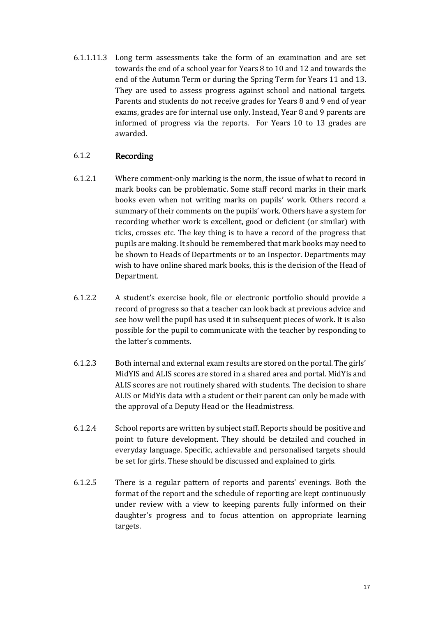6.1.1.11.3 Long term assessments take the form of an examination and are set towards the end of a school year for Years 8 to 10 and 12 and towards the end of the Autumn Term or during the Spring Term for Years 11 and 13. They are used to assess progress against school and national targets. Parents and students do not receive grades for Years 8 and 9 end of year exams, grades are for internal use only. Instead, Year 8 and 9 parents are informed of progress via the reports. For Years 10 to 13 grades are awarded.

### 6.1.2 Recording

- 6.1.2.1 Where comment-only marking is the norm, the issue of what to record in mark books can be problematic. Some staff record marks in their mark books even when not writing marks on pupils' work. Others record a summary of their comments on the pupils' work. Others have a system for recording whether work is excellent, good or deficient (or similar) with ticks, crosses etc. The key thing is to have a record of the progress that pupils are making. It should be remembered that mark books may need to be shown to Heads of Departments or to an Inspector. Departments may wish to have online shared mark books, this is the decision of the Head of Department.
- 6.1.2.2 A student's exercise book, file or electronic portfolio should provide a record of progress so that a teacher can look back at previous advice and see how well the pupil has used it in subsequent pieces of work. It is also possible for the pupil to communicate with the teacher by responding to the latter's comments.
- 6.1.2.3 Both internal and external exam results are stored on the portal. The girls' MidYIS and ALIS scores are stored in a shared area and portal. MidYis and ALIS scores are not routinely shared with students. The decision to share ALIS or MidYis data with a student or their parent can only be made with the approval of a Deputy Head or the Headmistress.
- 6.1.2.4 School reports are written by subject staff. Reports should be positive and point to future development. They should be detailed and couched in everyday language. Specific, achievable and personalised targets should be set for girls. These should be discussed and explained to girls.
- 6.1.2.5 There is a regular pattern of reports and parents' evenings. Both the format of the report and the schedule of reporting are kept continuously under review with a view to keeping parents fully informed on their daughter's progress and to focus attention on appropriate learning targets.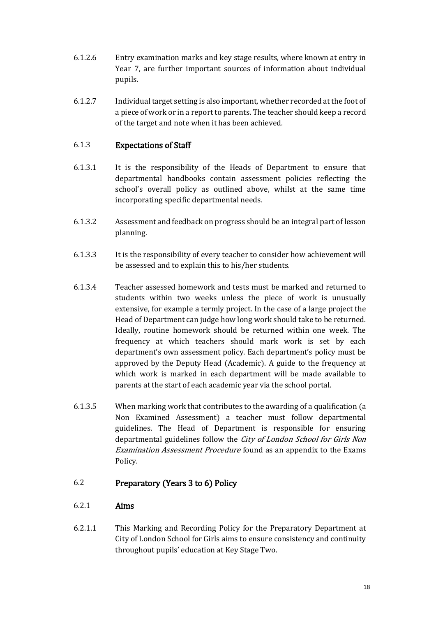- 6.1.2.6 Entry examination marks and key stage results, where known at entry in Year 7, are further important sources of information about individual pupils.
- 6.1.2.7 Individual target setting is also important, whether recorded at the foot of a piece of work or in a report to parents. The teacher should keep a record of the target and note when it has been achieved.

#### 6.1.3 Expectations of Staff

- 6.1.3.1 It is the responsibility of the Heads of Department to ensure that departmental handbooks contain assessment policies reflecting the school's overall policy as outlined above, whilst at the same time incorporating specific departmental needs.
- 6.1.3.2 Assessment and feedback on progress should be an integral part of lesson planning.
- 6.1.3.3 It is the responsibility of every teacher to consider how achievement will be assessed and to explain this to his/her students.
- 6.1.3.4 Teacher assessed homework and tests must be marked and returned to students within two weeks unless the piece of work is unusually extensive, for example a termly project. In the case of a large project the Head of Department can judge how long work should take to be returned. Ideally, routine homework should be returned within one week. The frequency at which teachers should mark work is set by each department's own assessment policy. Each department's policy must be approved by the Deputy Head (Academic). A guide to the frequency at which work is marked in each department will be made available to parents at the start of each academic year via the school portal.
- 6.1.3.5 When marking work that contributes to the awarding of a qualification (a Non Examined Assessment) a teacher must follow departmental guidelines. The Head of Department is responsible for ensuring departmental guidelines follow the City of London School for Girls Non Examination Assessment Procedure found as an appendix to the Exams Policy.

#### 6.2 Preparatory (Years 3 to 6) Policy

#### 6.2.1 Aims

6.2.1.1 This Marking and Recording Policy for the Preparatory Department at City of London School for Girls aims to ensure consistency and continuity throughout pupils' education at Key Stage Two.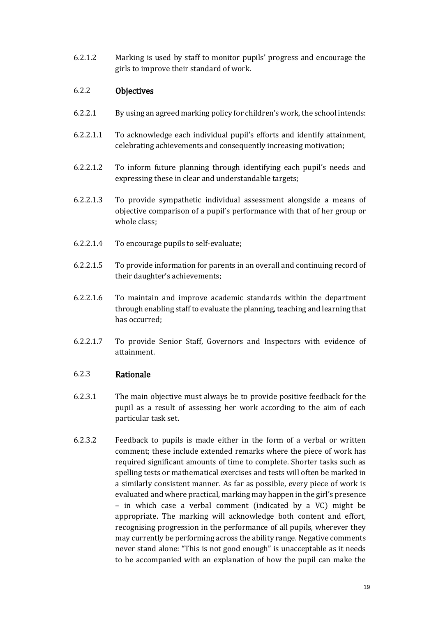6.2.1.2 Marking is used by staff to monitor pupils' progress and encourage the girls to improve their standard of work.

#### 6.2.2 Objectives

- 6.2.2.1 By using an agreed marking policy for children's work, the school intends:
- 6.2.2.1.1 To acknowledge each individual pupil's efforts and identify attainment, celebrating achievements and consequently increasing motivation;
- 6.2.2.1.2 To inform future planning through identifying each pupil's needs and expressing these in clear and understandable targets;
- 6.2.2.1.3 To provide sympathetic individual assessment alongside a means of objective comparison of a pupil's performance with that of her group or whole class;
- 6.2.2.1.4 To encourage pupils to self-evaluate;
- 6.2.2.1.5 To provide information for parents in an overall and continuing record of their daughter's achievements;
- 6.2.2.1.6 To maintain and improve academic standards within the department through enabling staff to evaluate the planning, teaching and learning that has occurred;
- 6.2.2.1.7 To provide Senior Staff, Governors and Inspectors with evidence of attainment.

#### 6.2.3 Rationale

- 6.2.3.1 The main objective must always be to provide positive feedback for the pupil as a result of assessing her work according to the aim of each particular task set.
- 6.2.3.2 Feedback to pupils is made either in the form of a verbal or written comment; these include extended remarks where the piece of work has required significant amounts of time to complete. Shorter tasks such as spelling tests or mathematical exercises and tests will often be marked in a similarly consistent manner. As far as possible, every piece of work is evaluated and where practical, marking may happen in the girl's presence – in which case a verbal comment (indicated by a VC) might be appropriate. The marking will acknowledge both content and effort, recognising progression in the performance of all pupils, wherever they may currently be performing across the ability range. Negative comments never stand alone: "This is not good enough" is unacceptable as it needs to be accompanied with an explanation of how the pupil can make the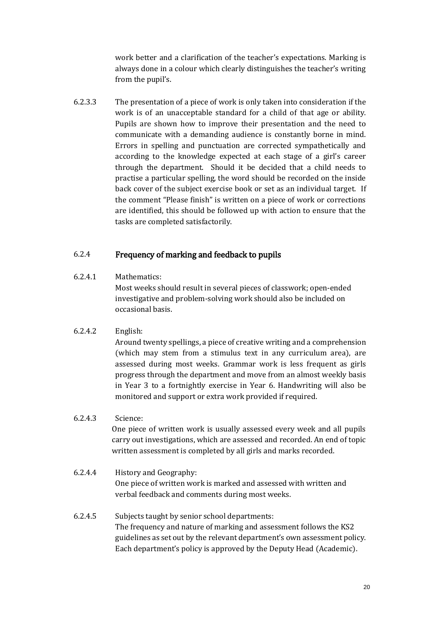work better and a clarification of the teacher's expectations. Marking is always done in a colour which clearly distinguishes the teacher's writing from the pupil's.

6.2.3.3 The presentation of a piece of work is only taken into consideration if the work is of an unacceptable standard for a child of that age or ability. Pupils are shown how to improve their presentation and the need to communicate with a demanding audience is constantly borne in mind. Errors in spelling and punctuation are corrected sympathetically and according to the knowledge expected at each stage of a girl's career through the department. Should it be decided that a child needs to practise a particular spelling, the word should be recorded on the inside back cover of the subject exercise book or set as an individual target. If the comment "Please finish" is written on a piece of work or corrections are identified, this should be followed up with action to ensure that the tasks are completed satisfactorily.

#### 6.2.4 Frequency of marking and feedback to pupils

#### 6.2.4.1 Mathematics:

Most weeks should result in several pieces of classwork; open-ended investigative and problem-solving work should also be included on occasional basis.

#### 6.2.4.2 English:

Around twenty spellings, a piece of creative writing and a comprehension (which may stem from a stimulus text in any curriculum area), are assessed during most weeks. Grammar work is less frequent as girls progress through the department and move from an almost weekly basis in Year 3 to a fortnightly exercise in Year 6. Handwriting will also be monitored and support or extra work provided if required.

#### 6.2.4.3 Science:

One piece of written work is usually assessed every week and all pupils carry out investigations, which are assessed and recorded. An end of topic written assessment is completed by all girls and marks recorded.

### 6.2.4.4 History and Geography:

One piece of written work is marked and assessed with written and verbal feedback and comments during most weeks.

6.2.4.5 Subjects taught by senior school departments: The frequency and nature of marking and assessment follows the KS2 guidelines as set out by the relevant department's own assessment policy. Each department's policy is approved by the Deputy Head (Academic).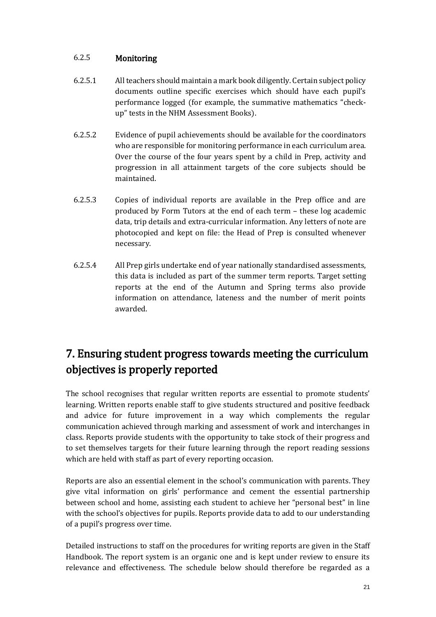### 6.2.5 Monitoring

- 6.2.5.1 All teachers should maintain a mark book diligently. Certain subject policy documents outline specific exercises which should have each pupil's performance logged (for example, the summative mathematics "checkup" tests in the NHM Assessment Books).
- 6.2.5.2 Evidence of pupil achievements should be available for the coordinators who are responsible for monitoring performance in each curriculum area. Over the course of the four years spent by a child in Prep, activity and progression in all attainment targets of the core subjects should be maintained.
- 6.2.5.3 Copies of individual reports are available in the Prep office and are produced by Form Tutors at the end of each term – these log academic data, trip details and extra-curricular information. Any letters of note are photocopied and kept on file: the Head of Prep is consulted whenever necessary.
- 6.2.5.4 All Prep girls undertake end of year nationally standardised assessments, this data is included as part of the summer term reports. Target setting reports at the end of the Autumn and Spring terms also provide information on attendance, lateness and the number of merit points awarded.

# 7. Ensuring student progress towards meeting the curriculum objectives is properly reported

The school recognises that regular written reports are essential to promote students' learning. Written reports enable staff to give students structured and positive feedback and advice for future improvement in a way which complements the regular communication achieved through marking and assessment of work and interchanges in class. Reports provide students with the opportunity to take stock of their progress and to set themselves targets for their future learning through the report reading sessions which are held with staff as part of every reporting occasion.

Reports are also an essential element in the school's communication with parents. They give vital information on girls' performance and cement the essential partnership between school and home, assisting each student to achieve her "personal best" in line with the school's objectives for pupils. Reports provide data to add to our understanding of a pupil's progress over time.

Detailed instructions to staff on the procedures for writing reports are given in the Staff Handbook. The report system is an organic one and is kept under review to ensure its relevance and effectiveness. The schedule below should therefore be regarded as a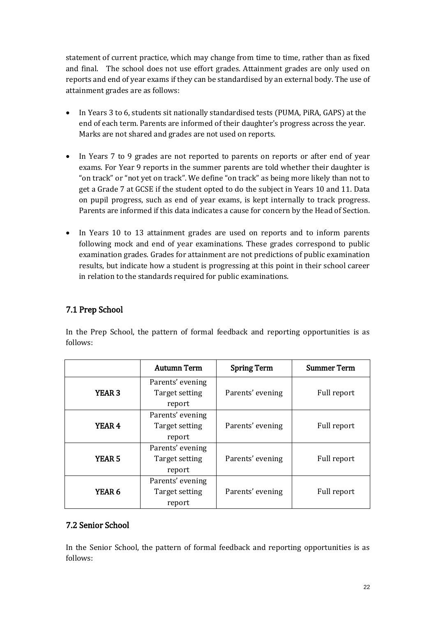statement of current practice, which may change from time to time, rather than as fixed and final. The school does not use effort grades. Attainment grades are only used on reports and end of year exams if they can be standardised by an external body. The use of attainment grades are as follows:

- In Years 3 to 6, students sit nationally standardised tests (PUMA, PiRA, GAPS) at the end of each term. Parents are informed of their daughter's progress across the year. Marks are not shared and grades are not used on reports.
- In Years 7 to 9 grades are not reported to parents on reports or after end of year exams. For Year 9 reports in the summer parents are told whether their daughter is "on track" or "not yet on track". We define "on track" as being more likely than not to get a Grade 7 at GCSE if the student opted to do the subject in Years 10 and 11. Data on pupil progress, such as end of year exams, is kept internally to track progress. Parents are informed if this data indicates a cause for concern by the Head of Section.
- In Years 10 to 13 attainment grades are used on reports and to inform parents following mock and end of year examinations. These grades correspond to public examination grades. Grades for attainment are not predictions of public examination results, but indicate how a student is progressing at this point in their school career in relation to the standards required for public examinations.

## 7.1 Prep School

In the Prep School, the pattern of formal feedback and reporting opportunities is as follows:

|               | <b>Autumn Term</b>                           | <b>Spring Term</b> | <b>Summer Term</b> |
|---------------|----------------------------------------------|--------------------|--------------------|
| <b>YEAR 3</b> | Parents' evening<br>Target setting<br>report | Parents' evening   | Full report        |
| <b>YEAR 4</b> | Parents' evening<br>Target setting<br>report | Parents' evening   | Full report        |
| <b>YEAR 5</b> | Parents' evening<br>Target setting<br>report | Parents' evening   | Full report        |
| YEAR 6        | Parents' evening<br>Target setting<br>report | Parents' evening   | Full report        |

### 7.2 Senior School

In the Senior School, the pattern of formal feedback and reporting opportunities is as follows: